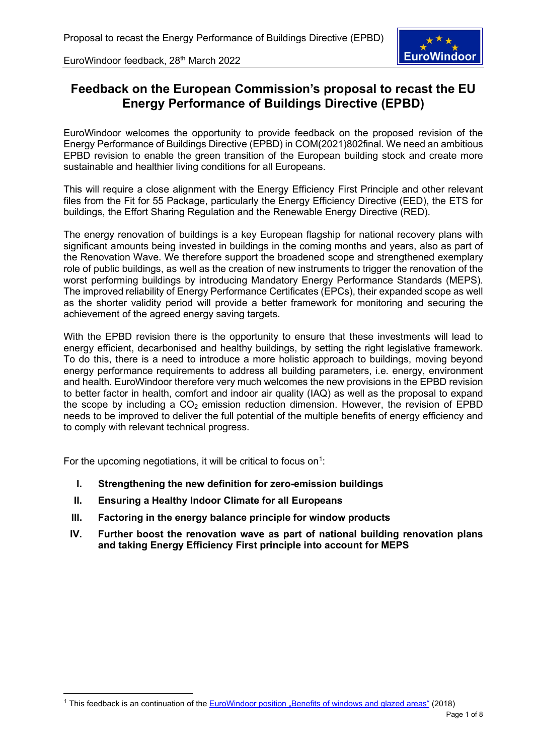

# **Feedback on the European Commission's proposal to recast the EU Energy Performance of Buildings Directive (EPBD)**

EuroWindoor welcomes the opportunity to provide feedback on the proposed revision of the Energy Performance of Buildings Directive (EPBD) in COM(2021)802final. We need an ambitious EPBD revision to enable the green transition of the European building stock and create more sustainable and healthier living conditions for all Europeans.

This will require a close alignment with the Energy Efficiency First Principle and other relevant files from the Fit for 55 Package, particularly the Energy Efficiency Directive (EED), the ETS for buildings, the Effort Sharing Regulation and the Renewable Energy Directive (RED).

The energy renovation of buildings is a key European flagship for national recovery plans with significant amounts being invested in buildings in the coming months and years, also as part of the Renovation Wave. We therefore support the broadened scope and strengthened exemplary role of public buildings, as well as the creation of new instruments to trigger the renovation of the worst performing buildings by introducing Mandatory Energy Performance Standards (MEPS). The improved reliability of Energy Performance Certificates (EPCs), their expanded scope as well as the shorter validity period will provide a better framework for monitoring and securing the achievement of the agreed energy saving targets.

With the EPBD revision there is the opportunity to ensure that these investments will lead to energy efficient, decarbonised and healthy buildings, by setting the right legislative framework. To do this, there is a need to introduce a more holistic approach to buildings, moving beyond energy performance requirements to address all building parameters, i.e. energy, environment and health. EuroWindoor therefore very much welcomes the new provisions in the EPBD revision to better factor in health, comfort and indoor air quality (IAQ) as well as the proposal to expand the scope by including a  $CO<sub>2</sub>$  emission reduction dimension. However, the revision of EPBD needs to be improved to deliver the full potential of the multiple benefits of energy efficiency and to comply with relevant technical progress.

For the upcoming negotiations, it will be critical to focus on<sup>[1](#page-0-0)</sup>:

- **I. Strengthening the new definition for zero-emission buildings**
- **II. Ensuring a Healthy Indoor Climate for all Europeans**
- **III. Factoring in the energy balance principle for window products**
- **IV. Further boost the renovation wave as part of national building renovation plans and taking Energy Efficiency First principle into account for MEPS**

<span id="page-0-0"></span><sup>&</sup>lt;sup>1</sup> This feedback is an continuation of the [EuroWindoor position "Benefits of windows and glazed areas"](https://eurowindoor.eu/fileadmin/redaktion_eurowindoor/Position_Papers/EuroWindoor_position_on_Benefits_of_windows_and_glazed_areas_1809.pdf) (2018)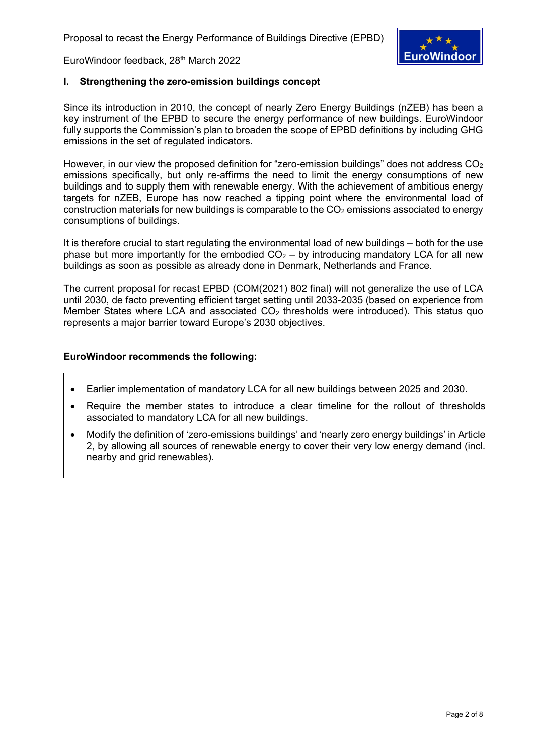

## **I. Strengthening the zero-emission buildings concept**

Since its introduction in 2010, the concept of nearly Zero Energy Buildings (nZEB) has been a key instrument of the EPBD to secure the energy performance of new buildings. EuroWindoor fully supports the Commission's plan to broaden the scope of EPBD definitions by including GHG emissions in the set of regulated indicators.

However, in our view the proposed definition for "zero-emission buildings" does not address  $CO<sub>2</sub>$ emissions specifically, but only re-affirms the need to limit the energy consumptions of new buildings and to supply them with renewable energy. With the achievement of ambitious energy targets for nZEB, Europe has now reached a tipping point where the environmental load of construction materials for new buildings is comparable to the  $CO<sub>2</sub>$  emissions associated to energy consumptions of buildings.

It is therefore crucial to start regulating the environmental load of new buildings – both for the use phase but more importantly for the embodied  $CO<sub>2</sub> -$  by introducing mandatory LCA for all new buildings as soon as possible as already done in Denmark, Netherlands and France.

The current proposal for recast EPBD (COM(2021) 802 final) will not generalize the use of LCA until 2030, de facto preventing efficient target setting until 2033-2035 (based on experience from Member States where LCA and associated  $CO<sub>2</sub>$  thresholds were introduced). This status quo represents a major barrier toward Europe's 2030 objectives.

- Earlier implementation of mandatory LCA for all new buildings between 2025 and 2030.
- Require the member states to introduce a clear timeline for the rollout of thresholds associated to mandatory LCA for all new buildings.
- Modify the definition of 'zero-emissions buildings' and 'nearly zero energy buildings' in Article 2, by allowing all sources of renewable energy to cover their very low energy demand (incl. nearby and grid renewables).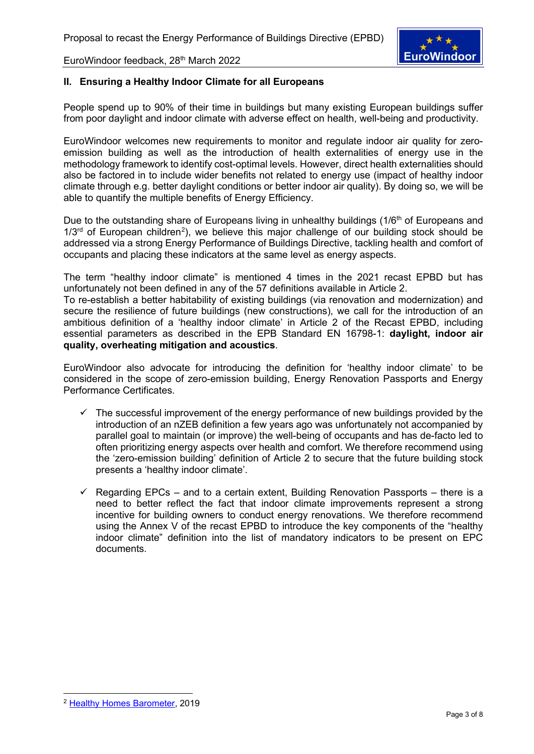

## **II. Ensuring a Healthy Indoor Climate for all Europeans**

People spend up to 90% of their time in buildings but many existing European buildings suffer from poor daylight and indoor climate with adverse effect on health, well-being and productivity.

EuroWindoor welcomes new requirements to monitor and regulate indoor air quality for zeroemission building as well as the introduction of health externalities of energy use in the methodology framework to identify cost-optimal levels. However, direct health externalities should also be factored in to include wider benefits not related to energy use (impact of healthy indoor climate through e.g. better daylight conditions or better indoor air quality). By doing so, we will be able to quantify the multiple benefits of Energy Efficiency.

Due to the outstanding share of Europeans living in unhealthy buildings (1/6<sup>th</sup> of Europeans and  $1/3<sup>rd</sup>$  of European children<sup>[2](#page-2-0)</sup>), we believe this major challenge of our building stock should be addressed via a strong Energy Performance of Buildings Directive, tackling health and comfort of occupants and placing these indicators at the same level as energy aspects.

The term "healthy indoor climate" is mentioned 4 times in the 2021 recast EPBD but has unfortunately not been defined in any of the 57 definitions available in Article 2.

To re-establish a better habitability of existing buildings (via renovation and modernization) and secure the resilience of future buildings (new constructions), we call for the introduction of an ambitious definition of a 'healthy indoor climate' in Article 2 of the Recast EPBD, including essential parameters as described in the EPB Standard EN 16798-1: **daylight, indoor air quality, overheating mitigation and acoustics**.

EuroWindoor also advocate for introducing the definition for 'healthy indoor climate' to be considered in the scope of zero-emission building, Energy Renovation Passports and Energy Performance Certificates.

- $\checkmark$  The successful improvement of the energy performance of new buildings provided by the introduction of an nZEB definition a few years ago was unfortunately not accompanied by parallel goal to maintain (or improve) the well-being of occupants and has de-facto led to often prioritizing energy aspects over health and comfort. We therefore recommend using the 'zero-emission building' definition of Article 2 to secure that the future building stock presents a 'healthy indoor climate'.
- $\checkmark$  Regarding EPCs and to a certain extent, Building Renovation Passports there is a need to better reflect the fact that indoor climate improvements represent a strong incentive for building owners to conduct energy renovations. We therefore recommend using the Annex V of the recast EPBD to introduce the key components of the "healthy indoor climate" definition into the list of mandatory indicators to be present on EPC documents.

<span id="page-2-0"></span><sup>2</sup> [Healthy Homes Barometer,](https://velcdn.azureedge.net/-/media/marketing/de/dokumente/pdf/healthy-homes-barometer/velux-healthy-homes-barometer-2019.pdf) 2019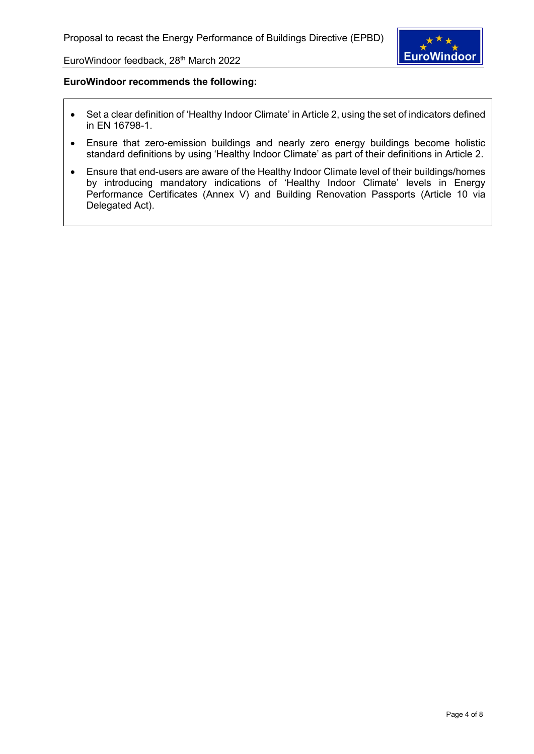

- Set a clear definition of 'Healthy Indoor Climate' in Article 2, using the set of indicators defined in EN 16798-1.
- Ensure that zero-emission buildings and nearly zero energy buildings become holistic standard definitions by using 'Healthy Indoor Climate' as part of their definitions in Article 2.
- Ensure that end-users are aware of the Healthy Indoor Climate level of their buildings/homes by introducing mandatory indications of 'Healthy Indoor Climate' levels in Energy Performance Certificates (Annex V) and Building Renovation Passports (Article 10 via Delegated Act).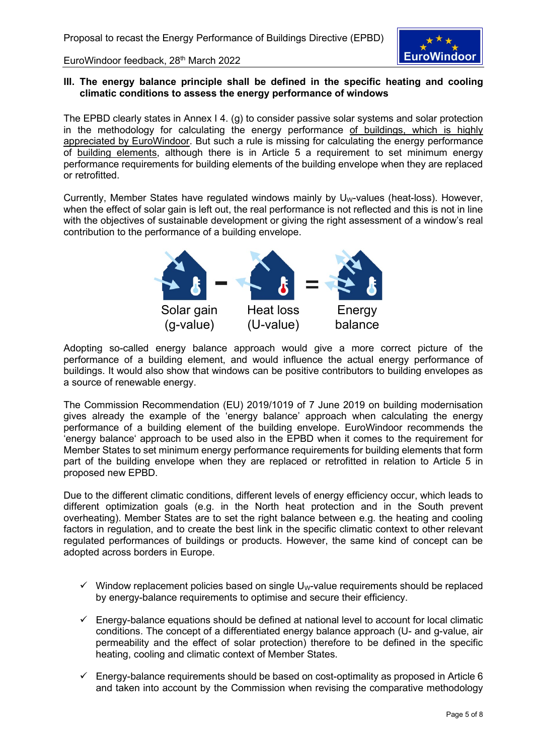

### **III. The energy balance principle shall be defined in the specific heating and cooling climatic conditions to assess the energy performance of windows**

The EPBD clearly states in Annex I 4. (g) to consider passive solar systems and solar protection in the methodology for calculating the energy performance of buildings, which is highly appreciated by EuroWindoor. But such a rule is missing for calculating the energy performance of building elements, although there is in Article 5 a requirement to set minimum energy performance requirements for building elements of the building envelope when they are replaced or retrofitted.

Currently, Member States have regulated windows mainly by  $U_W$ -values (heat-loss). However, when the effect of solar gain is left out, the real performance is not reflected and this is not in line with the objectives of sustainable development or giving the right assessment of a window's real contribution to the performance of a building envelope.



Adopting so-called energy balance approach would give a more correct picture of the performance of a building element, and would influence the actual energy performance of buildings. It would also show that windows can be positive contributors to building envelopes as a source of renewable energy.

The Commission Recommendation (EU) 2019/1019 of 7 June 2019 on building modernisation gives already the example of the 'energy balance' approach when calculating the energy performance of a building element of the building envelope. EuroWindoor recommends the 'energy balance' approach to be used also in the EPBD when it comes to the requirement for Member States to set minimum energy performance requirements for building elements that form part of the building envelope when they are replaced or retrofitted in relation to Article 5 in proposed new EPBD.

Due to the different climatic conditions, different levels of energy efficiency occur, which leads to different optimization goals (e.g. in the North heat protection and in the South prevent overheating). Member States are to set the right balance between e.g. the heating and cooling factors in regulation, and to create the best link in the specific climatic context to other relevant regulated performances of buildings or products. However, the same kind of concept can be adopted across borders in Europe.

- $\checkmark$  Window replacement policies based on single U<sub>W</sub>-value requirements should be replaced by energy-balance requirements to optimise and secure their efficiency.
- $\checkmark$  Energy-balance equations should be defined at national level to account for local climatic conditions. The concept of a differentiated energy balance approach (U- and g-value, air permeability and the effect of solar protection) therefore to be defined in the specific heating, cooling and climatic context of Member States.
- $\checkmark$  Energy-balance requirements should be based on cost-optimality as proposed in Article 6 and taken into account by the Commission when revising the comparative methodology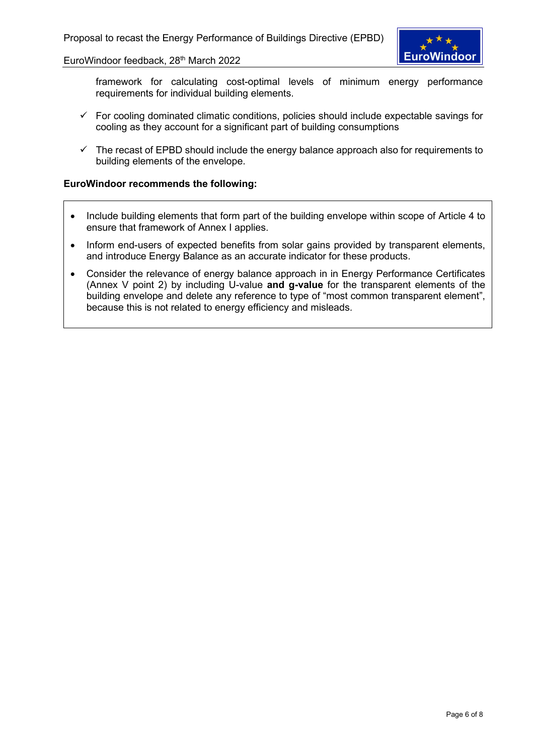**EuroWindoor** 

EuroWindoor feedback, 28<sup>th</sup> March 2022

framework for calculating cost-optimal levels of minimum energy performance requirements for individual building elements.

- $\checkmark$  For cooling dominated climatic conditions, policies should include expectable savings for cooling as they account for a significant part of building consumptions
- $\checkmark$  The recast of EPBD should include the energy balance approach also for requirements to building elements of the envelope.

- Include building elements that form part of the building envelope within scope of Article 4 to ensure that framework of Annex I applies.
- Inform end-users of expected benefits from solar gains provided by transparent elements, and introduce Energy Balance as an accurate indicator for these products.
- Consider the relevance of energy balance approach in in Energy Performance Certificates (Annex V point 2) by including U-value **and g-value** for the transparent elements of the building envelope and delete any reference to type of "most common transparent element", because this is not related to energy efficiency and misleads.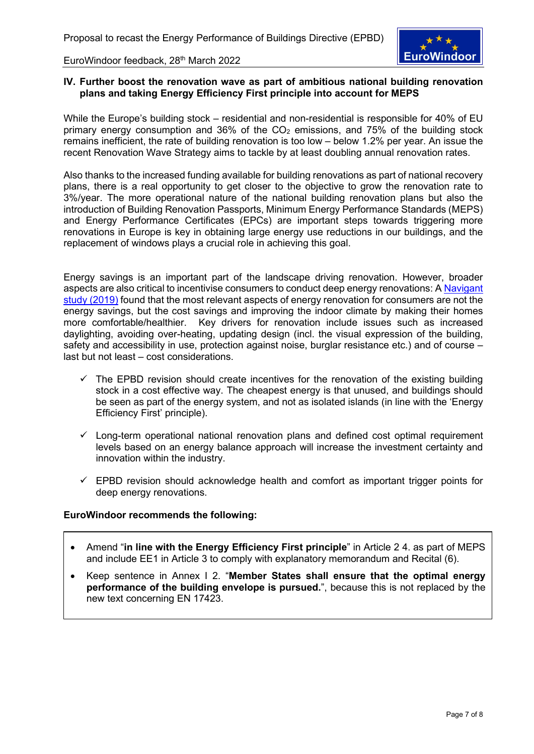

### **IV. Further boost the renovation wave as part of ambitious national building renovation plans and taking Energy Efficiency First principle into account for MEPS**

While the Europe's building stock – residential and non-residential is responsible for 40% of EU primary energy consumption and 36% of the  $CO<sub>2</sub>$  emissions, and 75% of the building stock remains inefficient, the rate of building renovation is too low – below 1.2% per year. An issue the recent Renovation Wave Strategy aims to tackle by at least doubling annual renovation rates.

Also thanks to the increased funding available for building renovations as part of national recovery plans, there is a real opportunity to get closer to the objective to grow the renovation rate to 3%/year. The more operational nature of the national building renovation plans but also the introduction of Building Renovation Passports, Minimum Energy Performance Standards (MEPS) and Energy Performance Certificates (EPCs) are important steps towards triggering more renovations in Europe is key in obtaining large energy use reductions in our buildings, and the replacement of windows plays a crucial role in achieving this goal.

Energy savings is an important part of the landscape driving renovation. However, broader aspects are also critical to incentivise consumers to conduct deep energy renovations: A [Navigant](https://ec.europa.eu/energy/sites/ener/files/documents/1.final_report.pdf)  [study \(2019\)](https://ec.europa.eu/energy/sites/ener/files/documents/1.final_report.pdf) found that the most relevant aspects of energy renovation for consumers are not the energy savings, but the cost savings and improving the indoor climate by making their homes more comfortable/healthier. Key drivers for renovation include issues such as increased daylighting, avoiding over-heating, updating design (incl. the visual expression of the building, safety and accessibility in use, protection against noise, burglar resistance etc.) and of course – last but not least – cost considerations.

- $\checkmark$  The EPBD revision should create incentives for the renovation of the existing building stock in a cost effective way. The cheapest energy is that unused, and buildings should be seen as part of the energy system, and not as isolated islands (in line with the 'Energy Efficiency First' principle).
- $\checkmark$  Long-term operational national renovation plans and defined cost optimal requirement levels based on an energy balance approach will increase the investment certainty and innovation within the industry.
- $\checkmark$  EPBD revision should acknowledge health and comfort as important trigger points for deep energy renovations.

- Amend "**in line with the Energy Efficiency First principle**" in Article 2 4. as part of MEPS and include EE1 in Article 3 to comply with explanatory memorandum and Recital (6).
- Keep sentence in Annex I 2. "**Member States shall ensure that the optimal energy performance of the building envelope is pursued.**", because this is not replaced by the new text concerning EN 17423.